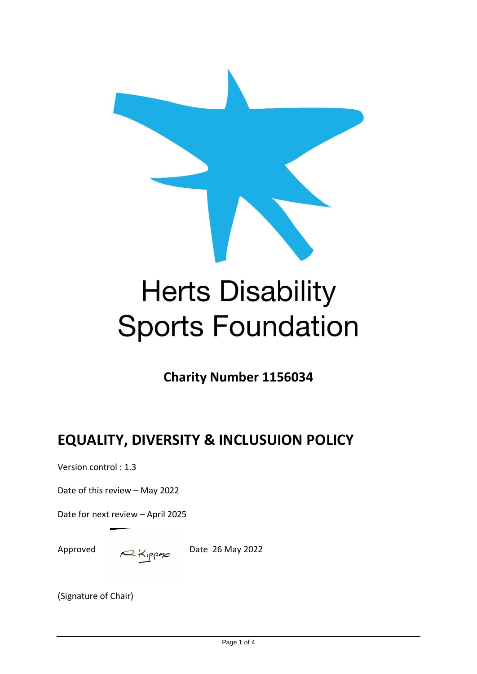

# **Herts Disability Sports Foundation**

**Charity Number 1156034**

# **EQUALITY, DIVERSITY & INCLUSUION POLICY**

Version control : 1.3

Date of this review – May 2022

Date for next review – April 2025

Approved  $R_{\text{NPP}}$  Date 26 May 2022

(Signature of Chair)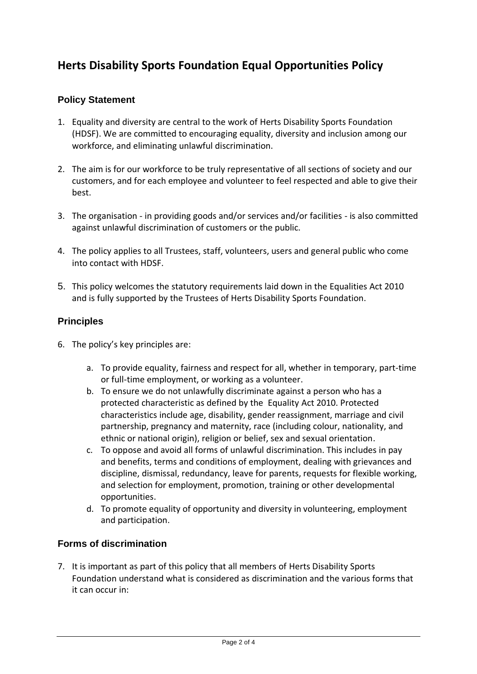# **Herts Disability Sports Foundation Equal Opportunities Policy**

#### **Policy Statement**

- 1. Equality and diversity are central to the work of Herts Disability Sports Foundation (HDSF). We are committed to encouraging equality, diversity and inclusion among our workforce, and eliminating unlawful discrimination.
- 2. The aim is for our workforce to be truly representative of all sections of society and our customers, and for each employee and volunteer to feel respected and able to give their best.
- 3. The organisation in providing goods and/or services and/or facilities is also committed against unlawful discrimination of customers or the public.
- 4. The policy applies to all Trustees, staff, volunteers, users and general public who come into contact with HDSF.
- 5. This policy welcomes the statutory requirements laid down in the Equalities Act 2010 and is fully supported by the Trustees of Herts Disability Sports Foundation.

#### **Principles**

- 6. The policy's key principles are:
	- a. To provide equality, fairness and respect for all, whether in temporary, part-time or full-time employment, or working as a volunteer.
	- b. To ensure we do not unlawfully discriminate against a person who has a protected characteristic as defined by the Equality Act 2010. Protected characteristics include age, disability, gender reassignment, marriage and civil partnership, pregnancy and maternity, race (including colour, nationality, and ethnic or national origin), religion or belief, sex and sexual orientation.
	- c. To oppose and avoid all forms of unlawful discrimination. This includes in pay and benefits, terms and conditions of employment, dealing with grievances and discipline, dismissal, redundancy, leave for parents, requests for flexible working, and selection for employment, promotion, training or other developmental opportunities.
	- d. To promote equality of opportunity and diversity in volunteering, employment and participation.

#### **Forms of discrimination**

7. It is important as part of this policy that all members of Herts Disability Sports Foundation understand what is considered as discrimination and the various forms that it can occur in: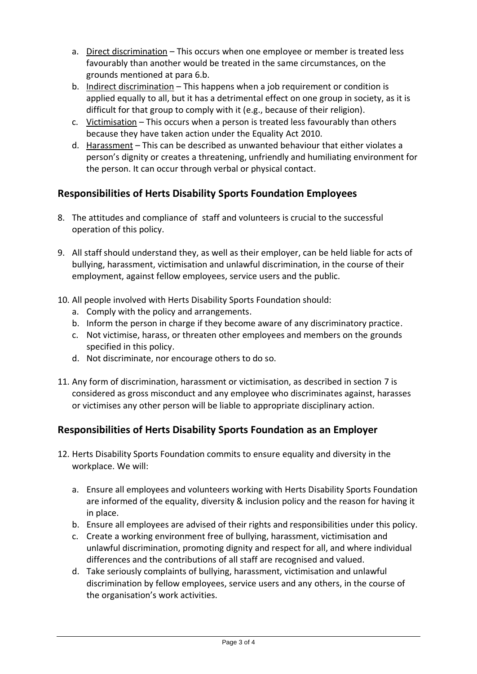- a. Direct discrimination This occurs when one employee or member is treated less favourably than another would be treated in the same circumstances, on the grounds mentioned at para 6.b.
- b. Indirect discrimination This happens when a job requirement or condition is applied equally to all, but it has a detrimental effect on one group in society, as it is difficult for that group to comply with it (e.g., because of their religion).
- c. Victimisation This occurs when a person is treated less favourably than others because they have taken action under the Equality Act 2010.
- d. Harassment This can be described as unwanted behaviour that either violates a person's dignity or creates a threatening, unfriendly and humiliating environment for the person. It can occur through verbal or physical contact.

# **Responsibilities of Herts Disability Sports Foundation Employees**

- 8. The attitudes and compliance of staff and volunteers is crucial to the successful operation of this policy.
- 9. All staff should understand they, as well as their employer, can be held liable for acts of bullying, harassment, victimisation and unlawful discrimination, in the course of their employment, against fellow employees, service users and the public.
- 10. All people involved with Herts Disability Sports Foundation should:
	- a. Comply with the policy and arrangements.
	- b. Inform the person in charge if they become aware of any discriminatory practice.
	- c. Not victimise, harass, or threaten other employees and members on the grounds specified in this policy.
	- d. Not discriminate, nor encourage others to do so.
- 11. Any form of discrimination, harassment or victimisation, as described in section 7 is considered as gross misconduct and any employee who discriminates against, harasses or victimises any other person will be liable to appropriate disciplinary action.

# **Responsibilities of Herts Disability Sports Foundation as an Employer**

- 12. Herts Disability Sports Foundation commits to ensure equality and diversity in the workplace. We will:
	- a. Ensure all employees and volunteers working with Herts Disability Sports Foundation are informed of the equality, diversity & inclusion policy and the reason for having it in place.
	- b. Ensure all employees are advised of their rights and responsibilities under this policy.
	- c. Create a working environment free of bullying, harassment, victimisation and unlawful discrimination, promoting dignity and respect for all, and where individual differences and the contributions of all staff are recognised and valued.
	- d. Take seriously complaints of bullying, harassment, victimisation and unlawful discrimination by fellow employees, service users and any others, in the course of the organisation's work activities.